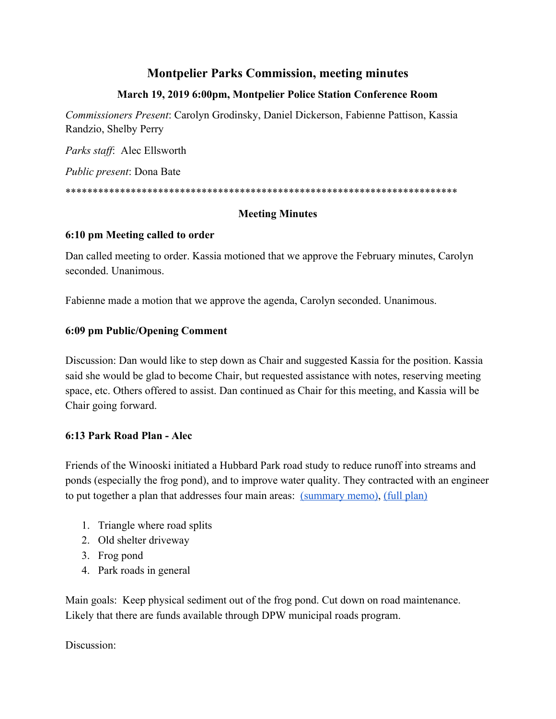# **Montpelier Parks Commission, meeting minutes**

### **March 19, 2019 6:00pm, Montpelier Police Station Conference Room**

*Commissioners Present*: Carolyn Grodinsky, Daniel Dickerson, Fabienne Pattison, Kassia Randzio, Shelby Perry

*Parks staff*: Alec Ellsworth

*Public present*: Dona Bate

\*\*\*\*\*\*\*\*\*\*\*\*\*\*\*\*\*\*\*\*\*\*\*\*\*\*\*\*\*\*\*\*\*\*\*\*\*\*\*\*\*\*\*\*\*\*\*\*\*\*\*\*\*\*\*\*\*\*\*\*\*\*\*\*\*\*\*\*\*\*\*\*

### **Meeting Minutes**

### **6:10 pm Meeting called to order**

Dan called meeting to order. Kassia motioned that we approve the February minutes, Carolyn seconded. Unanimous.

Fabienne made a motion that we approve the agenda, Carolyn seconded. Unanimous.

### **6:09 pm Public/Opening Comment**

Discussion: Dan would like to step down as Chair and suggested Kassia for the position. Kassia said she would be glad to become Chair, but requested assistance with notes, reserving meeting space, etc. Others offered to assist. Dan continued as Chair for this meeting, and Kassia will be Chair going forward.

### **6:13 Park Road Plan - Alec**

Friends of the Winooski initiated a Hubbard Park road study to reduce runoff into streams and ponds (especially the frog pond), and to improve water quality. They contracted with an engineer to put together a plan that addresses four main areas: [\(summary memo\)](https://drive.google.com/file/d/1yApVpz0r7vJSWQosKk74vFE13a4LgDGO/view?usp=sharing), [\(full plan\)](https://drive.google.com/drive/folders/12ECRoF0atB61Btg4cC22Jcnom3BUlIRk?usp=sharing)

- 1. Triangle where road splits
- 2. Old shelter driveway
- 3. Frog pond
- 4. Park roads in general

Main goals: Keep physical sediment out of the frog pond. Cut down on road maintenance. Likely that there are funds available through DPW municipal roads program.

### Discussion: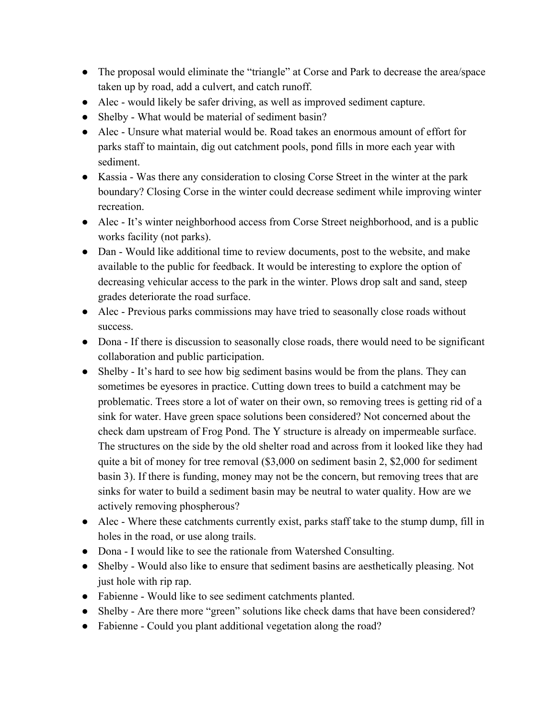- The proposal would eliminate the "triangle" at Corse and Park to decrease the area/space taken up by road, add a culvert, and catch runoff.
- Alec would likely be safer driving, as well as improved sediment capture.
- Shelby What would be material of sediment basin?
- Alec Unsure what material would be. Road takes an enormous amount of effort for parks staff to maintain, dig out catchment pools, pond fills in more each year with sediment.
- Kassia Was there any consideration to closing Corse Street in the winter at the park boundary? Closing Corse in the winter could decrease sediment while improving winter recreation.
- Alec It's winter neighborhood access from Corse Street neighborhood, and is a public works facility (not parks).
- Dan Would like additional time to review documents, post to the website, and make available to the public for feedback. It would be interesting to explore the option of decreasing vehicular access to the park in the winter. Plows drop salt and sand, steep grades deteriorate the road surface.
- Alec Previous parks commissions may have tried to seasonally close roads without success.
- Dona If there is discussion to seasonally close roads, there would need to be significant collaboration and public participation.
- Shelby It's hard to see how big sediment basins would be from the plans. They can sometimes be eyesores in practice. Cutting down trees to build a catchment may be problematic. Trees store a lot of water on their own, so removing trees is getting rid of a sink for water. Have green space solutions been considered? Not concerned about the check dam upstream of Frog Pond. The Y structure is already on impermeable surface. The structures on the side by the old shelter road and across from it looked like they had quite a bit of money for tree removal (\$3,000 on sediment basin 2, \$2,000 for sediment basin 3). If there is funding, money may not be the concern, but removing trees that are sinks for water to build a sediment basin may be neutral to water quality. How are we actively removing phospherous?
- Alec Where these catchments currently exist, parks staff take to the stump dump, fill in holes in the road, or use along trails.
- Dona I would like to see the rationale from Watershed Consulting.
- Shelby Would also like to ensure that sediment basins are aesthetically pleasing. Not just hole with rip rap.
- Fabienne Would like to see sediment catchments planted.
- Shelby Are there more "green" solutions like check dams that have been considered?
- Fabienne Could you plant additional vegetation along the road?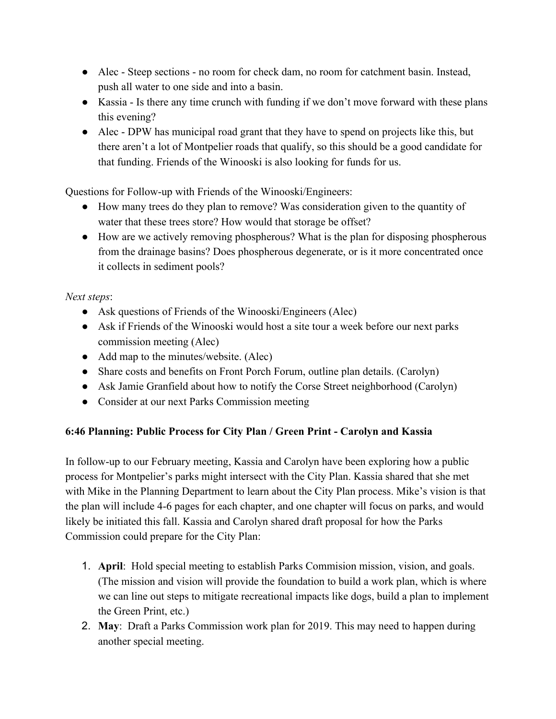- Alec Steep sections no room for check dam, no room for catchment basin. Instead, push all water to one side and into a basin.
- Kassia Is there any time crunch with funding if we don't move forward with these plans this evening?
- Alec DPW has municipal road grant that they have to spend on projects like this, but there aren't a lot of Montpelier roads that qualify, so this should be a good candidate for that funding. Friends of the Winooski is also looking for funds for us.

Questions for Follow-up with Friends of the Winooski/Engineers:

- How many trees do they plan to remove? Was consideration given to the quantity of water that these trees store? How would that storage be offset?
- How are we actively removing phospherous? What is the plan for disposing phospherous from the drainage basins? Does phospherous degenerate, or is it more concentrated once it collects in sediment pools?

# *Next steps*:

- Ask questions of Friends of the Winooski/Engineers (Alec)
- Ask if Friends of the Winooski would host a site tour a week before our next parks commission meeting (Alec)
- Add map to the minutes/website. (Alec)
- Share costs and benefits on Front Porch Forum, outline plan details. (Carolyn)
- Ask Jamie Granfield about how to notify the Corse Street neighborhood (Carolyn)
- Consider at our next Parks Commission meeting

# **6:46 Planning: Public Process for City Plan / Green Print - Carolyn and Kassia**

In follow-up to our February meeting, Kassia and Carolyn have been exploring how a public process for Montpelier's parks might intersect with the City Plan. Kassia shared that she met with Mike in the Planning Department to learn about the City Plan process. Mike's vision is that the plan will include 4-6 pages for each chapter, and one chapter will focus on parks, and would likely be initiated this fall. Kassia and Carolyn shared draft proposal for how the Parks Commission could prepare for the City Plan:

- 1. **April**: Hold special meeting to establish Parks Commision mission, vision, and goals. (The mission and vision will provide the foundation to build a work plan, which is where we can line out steps to mitigate recreational impacts like dogs, build a plan to implement the Green Print, etc.)
- 2. **May**: Draft a Parks Commission work plan for 2019. This may need to happen during another special meeting.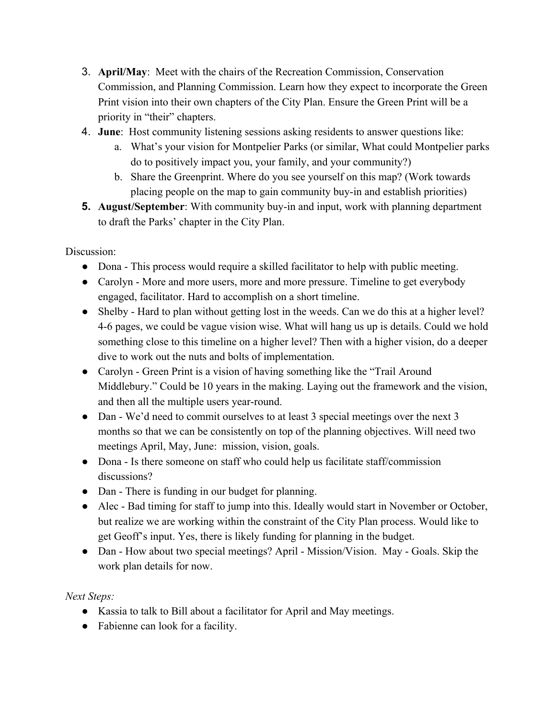- 3. **April/May**: Meet with the chairs of the Recreation Commission, Conservation Commission, and Planning Commission. Learn how they expect to incorporate the Green Print vision into their own chapters of the City Plan. Ensure the Green Print will be a priority in "their" chapters.
- 4. **June**: Host community listening sessions asking residents to answer questions like:
	- a. What's your vision for Montpelier Parks (or similar, What could Montpelier parks do to positively impact you, your family, and your community?)
	- b. Share the Greenprint. Where do you see yourself on this map? (Work towards placing people on the map to gain community buy-in and establish priorities)
- **5. August/September**: With community buy-in and input, work with planning department to draft the Parks' chapter in the City Plan.

Discussion:

- Dona This process would require a skilled facilitator to help with public meeting.
- Carolyn More and more users, more and more pressure. Timeline to get everybody engaged, facilitator. Hard to accomplish on a short timeline.
- Shelby Hard to plan without getting lost in the weeds. Can we do this at a higher level? 4-6 pages, we could be vague vision wise. What will hang us up is details. Could we hold something close to this timeline on a higher level? Then with a higher vision, do a deeper dive to work out the nuts and bolts of implementation.
- Carolyn Green Print is a vision of having something like the "Trail Around" Middlebury." Could be 10 years in the making. Laying out the framework and the vision, and then all the multiple users year-round.
- Dan We'd need to commit ourselves to at least 3 special meetings over the next 3 months so that we can be consistently on top of the planning objectives. Will need two meetings April, May, June: mission, vision, goals.
- Dona Is there someone on staff who could help us facilitate staff/commission discussions?
- Dan There is funding in our budget for planning.
- Alec Bad timing for staff to jump into this. Ideally would start in November or October, but realize we are working within the constraint of the City Plan process. Would like to get Geoff's input. Yes, there is likely funding for planning in the budget.
- Dan How about two special meetings? April Mission/Vision. May Goals. Skip the work plan details for now.

*Next Steps:*

- Kassia to talk to Bill about a facilitator for April and May meetings.
- Fabienne can look for a facility.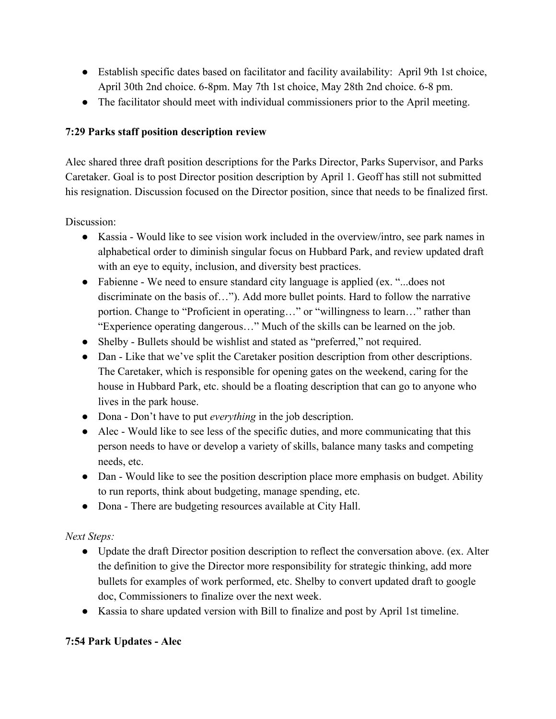- Establish specific dates based on facilitator and facility availability: April 9th 1st choice, April 30th 2nd choice. 6-8pm. May 7th 1st choice, May 28th 2nd choice. 6-8 pm.
- The facilitator should meet with individual commissioners prior to the April meeting.

# **7:29 Parks staff position description review**

Alec shared three draft position descriptions for the Parks Director, Parks Supervisor, and Parks Caretaker. Goal is to post Director position description by April 1. Geoff has still not submitted his resignation. Discussion focused on the Director position, since that needs to be finalized first.

Discussion:

- Kassia Would like to see vision work included in the overview/intro, see park names in alphabetical order to diminish singular focus on Hubbard Park, and review updated draft with an eye to equity, inclusion, and diversity best practices.
- Fabienne We need to ensure standard city language is applied (ex. "...does not discriminate on the basis of…"). Add more bullet points. Hard to follow the narrative portion. Change to "Proficient in operating…" or "willingness to learn…" rather than "Experience operating dangerous…" Much of the skills can be learned on the job.
- Shelby Bullets should be wishlist and stated as "preferred," not required.
- Dan Like that we've split the Caretaker position description from other descriptions. The Caretaker, which is responsible for opening gates on the weekend, caring for the house in Hubbard Park, etc. should be a floating description that can go to anyone who lives in the park house.
- Dona Don't have to put *everything* in the job description.
- Alec Would like to see less of the specific duties, and more communicating that this person needs to have or develop a variety of skills, balance many tasks and competing needs, etc.
- Dan Would like to see the position description place more emphasis on budget. Ability to run reports, think about budgeting, manage spending, etc.
- Dona There are budgeting resources available at City Hall.

*Next Steps:*

- Update the draft Director position description to reflect the conversation above. (ex. Alter the definition to give the Director more responsibility for strategic thinking, add more bullets for examples of work performed, etc. Shelby to convert updated draft to google doc, Commissioners to finalize over the next week.
- Kassia to share updated version with Bill to finalize and post by April 1st timeline.

# **7:54 Park Updates - Alec**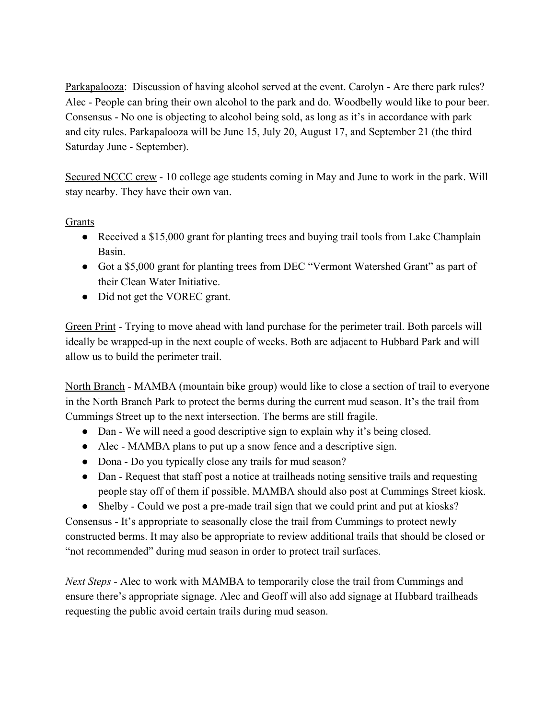Parkapalooza: Discussion of having alcohol served at the event. Carolyn - Are there park rules? Alec - People can bring their own alcohol to the park and do. Woodbelly would like to pour beer. Consensus - No one is objecting to alcohol being sold, as long as it's in accordance with park and city rules. Parkapalooza will be June 15, July 20, August 17, and September 21 (the third Saturday June - September).

Secured NCCC crew - 10 college age students coming in May and June to work in the park. Will stay nearby. They have their own van.

Grants

- Received a \$15,000 grant for planting trees and buying trail tools from Lake Champlain Basin.
- Got a \$5,000 grant for planting trees from DEC "Vermont Watershed Grant" as part of their Clean Water Initiative.
- Did not get the VOREC grant.

Green Print - Trying to move ahead with land purchase for the perimeter trail. Both parcels will ideally be wrapped-up in the next couple of weeks. Both are adjacent to Hubbard Park and will allow us to build the perimeter trail.

North Branch - MAMBA (mountain bike group) would like to close a section of trail to everyone in the North Branch Park to protect the berms during the current mud season. It's the trail from Cummings Street up to the next intersection. The berms are still fragile.

- Dan We will need a good descriptive sign to explain why it's being closed.
- Alec MAMBA plans to put up a snow fence and a descriptive sign.
- Dona Do you typically close any trails for mud season?
- Dan Request that staff post a notice at trailheads noting sensitive trails and requesting people stay off of them if possible. MAMBA should also post at Cummings Street kiosk.
- Shelby Could we post a pre-made trail sign that we could print and put at kiosks?

Consensus - It's appropriate to seasonally close the trail from Cummings to protect newly constructed berms. It may also be appropriate to review additional trails that should be closed or "not recommended" during mud season in order to protect trail surfaces.

*Next Steps* - Alec to work with MAMBA to temporarily close the trail from Cummings and ensure there's appropriate signage. Alec and Geoff will also add signage at Hubbard trailheads requesting the public avoid certain trails during mud season.